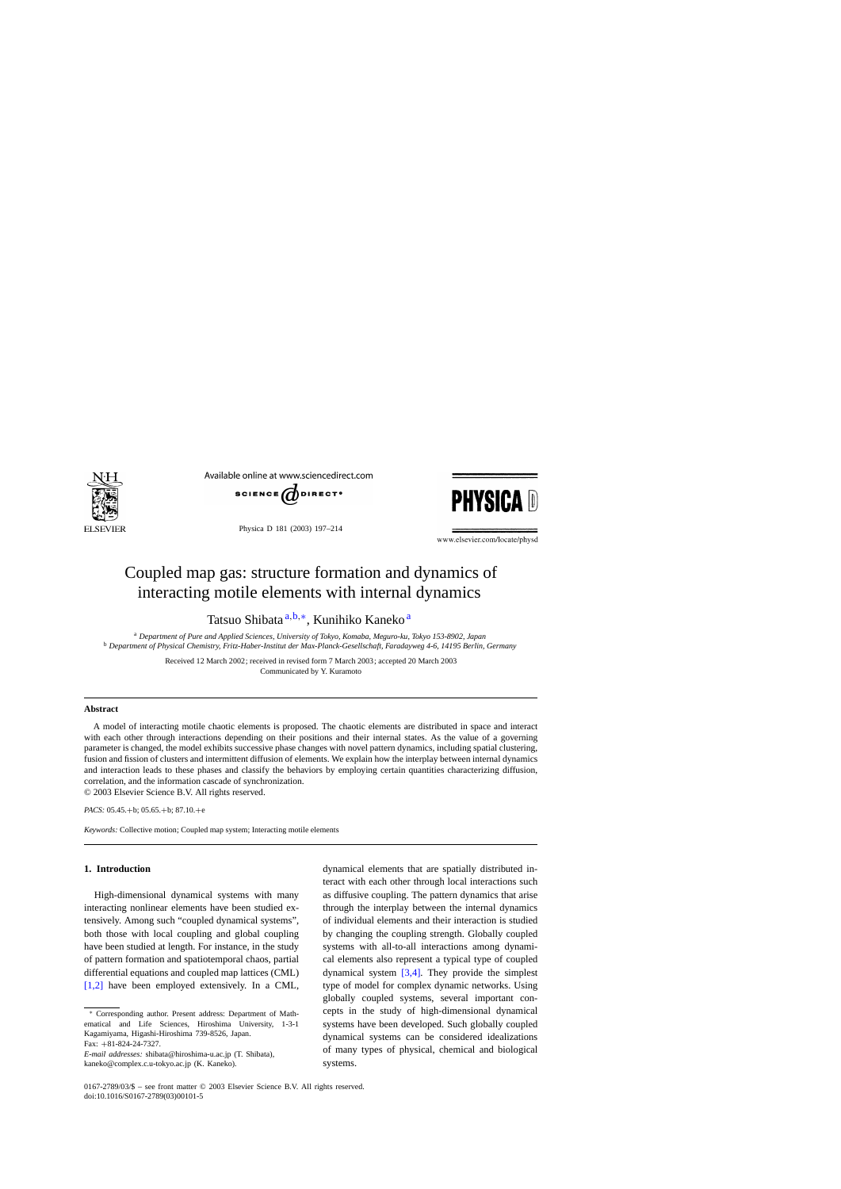<span id="page-0-0"></span>

Available online at www.sciencedirect.com



Physica D 181 (2003) 197–214



www.elsevier.com/locate/physd

# Coupled map gas: structure formation and dynamics of interacting motile elements with internal dynamics

Tatsuo Shibata a, b,<sup>\*</sup>, Kunihiko Kaneko <sup>a</sup>

<sup>a</sup> *Department of Pure and Applied Sciences, University of Tokyo, Komaba, Meguro-ku, Tokyo 153-8902, Japan* <sup>b</sup> *Department of Physical Chemistry, Fritz-Haber-Institut der Max-Planck-Gesellschaft, Faradayweg 4-6, 14195 Berlin, Germany*

> Received 12 March 2002; received in revised form 7 March 2003; accepted 20 March 2003 Communicated by Y. Kuramoto

## **Abstract**

A model of interacting motile chaotic elements is proposed. The chaotic elements are distributed in space and interact with each other through interactions depending on their positions and their internal states. As the value of a governing parameter is changed, the model exhibits successive phase changes with novel pattern dynamics, including spatial clustering, fusion and fission of clusters and intermittent diffusion of elements. We explain how the interplay between internal dynamics and interaction leads to these phases and classify the behaviors by employing certain quantities characterizing diffusion, correlation, and the information cascade of synchronization. © 2003 Elsevier Science B.V. All rights reserved.

*PACS:* 05.45.+b; 05.65.+b; 87.10.+e

*Keywords:* Collective motion; Coupled map system; Interacting motile elements

## **1. Introduction**

High-dimensional dynamical systems with many interacting nonlinear elements have been studied extensively. Among such "coupled dynamical systems", both those with local coupling and global coupling have been studied at length. For instance, in the study of pattern formation and spatiotemporal chaos, partial differential equations and coupled map lattices (CML) [\[1,2\]](#page-17-0) have been employed extensively. In a CML,

*E-mail addresses:* shibata@hiroshima-u.ac.jp (T. Shibata), kaneko@complex.c.u-tokyo.ac.jp (K. Kaneko).

dynamical elements that are spatially distributed interact with each other through local interactions such as diffusive coupling. The pattern dynamics that arise through the interplay between the internal dynamics of individual elements and their interaction is studied by changing the coupling strength. Globally coupled systems with all-to-all interactions among dynamical elements also represent a typical type of coupled dynamical system  $[3,4]$ . They provide the simplest type of model for complex dynamic networks. Using globally coupled systems, several important concepts in the study of high-dimensional dynamical systems have been developed. Such globally coupled dynamical systems can be considered idealizations of many types of physical, chemical and biological systems.

<sup>∗</sup> Corresponding author. Present address: Department of Mathematical and Life Sciences, Hiroshima University, 1-3-1 Kagamiyama, Higashi-Hiroshima 739-8526, Japan. Fax: +81-824-24-7327.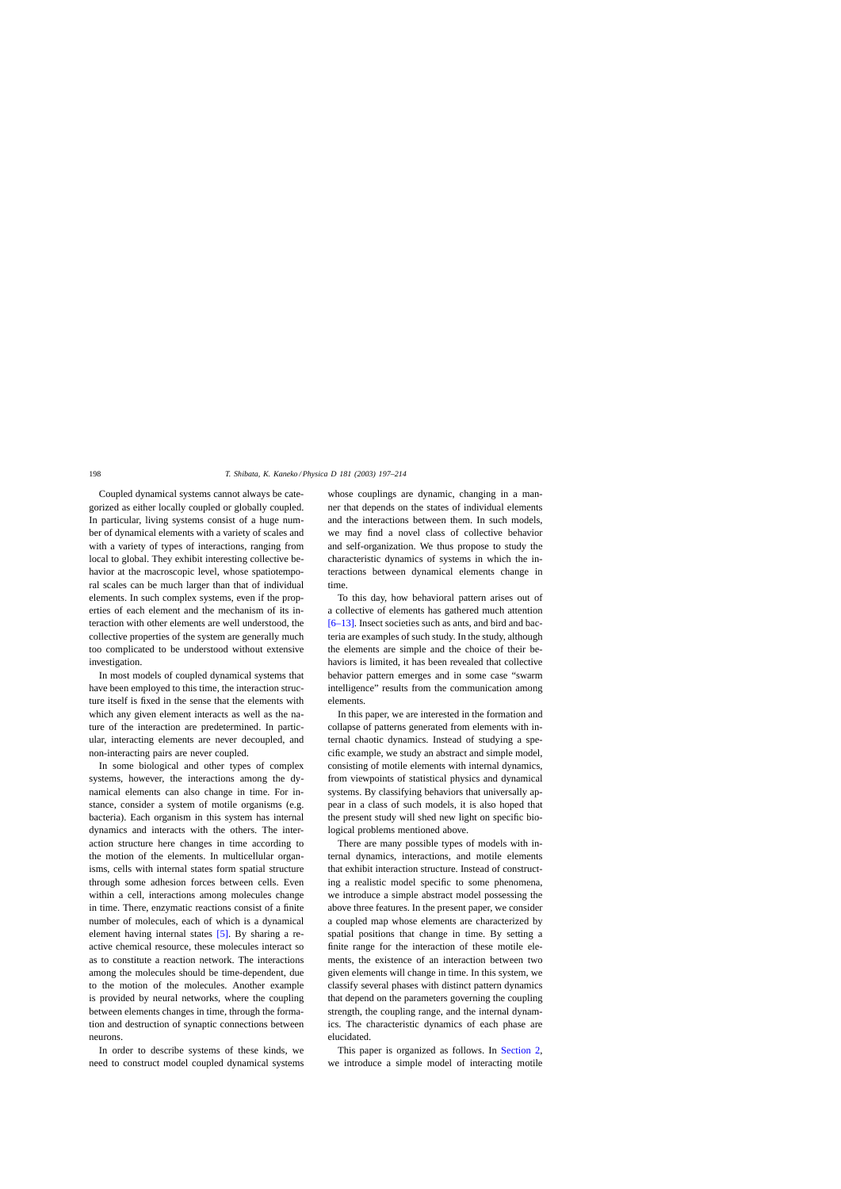Coupled dynamical systems cannot always be categorized as either locally coupled or globally coupled. In particular, living systems consist of a huge number of dynamical elements with a variety of scales and with a variety of types of interactions, ranging from local to global. They exhibit interesting collective behavior at the macroscopic level, whose spatiotemporal scales can be much larger than that of individual elements. In such complex systems, even if the properties of each element and the mechanism of its interaction with other elements are well understood, the collective properties of the system are generally much too complicated to be understood without extensive investigation.

In most models of coupled dynamical systems that have been employed to this time, the interaction structure itself is fixed in the sense that the elements with which any given element interacts as well as the nature of the interaction are predetermined. In particular, interacting elements are never decoupled, and non-interacting pairs are never coupled.

In some biological and other types of complex systems, however, the interactions among the dynamical elements can also change in time. For instance, consider a system of motile organisms (e.g. bacteria). Each organism in this system has internal dynamics and interacts with the others. The interaction structure here changes in time according to the motion of the elements. In multicellular organisms, cells with internal states form spatial structure through some adhesion forces between cells. Even within a cell, interactions among molecules change in time. There, enzymatic reactions consist of a finite number of molecules, each of which is a dynamical element having internal states [\[5\].](#page-17-0) By sharing a reactive chemical resource, these molecules interact so as to constitute a reaction network. The interactions among the molecules should be time-dependent, due to the motion of the molecules. Another example is provided by neural networks, where the coupling between elements changes in time, through the formation and destruction of synaptic connections between neurons.

In order to describe systems of these kinds, we need to construct model coupled dynamical systems whose couplings are dynamic, changing in a manner that depends on the states of individual elements and the interactions between them. In such models, we may find a novel class of collective behavior and self-organization. We thus propose to study the characteristic dynamics of systems in which the interactions between dynamical elements change in time.

To this day, how behavioral pattern arises out of a collective of elements has gathered much attention [\[6–13\]. I](#page-17-0)nsect societies such as ants, and bird and bacteria are examples of such study. In the study, although the elements are simple and the choice of their behaviors is limited, it has been revealed that collective behavior pattern emerges and in some case "swarm intelligence" results from the communication among elements.

In this paper, we are interested in the formation and collapse of patterns generated from elements with internal chaotic dynamics. Instead of studying a specific example, we study an abstract and simple model, consisting of motile elements with internal dynamics, from viewpoints of statistical physics and dynamical systems. By classifying behaviors that universally appear in a class of such models, it is also hoped that the present study will shed new light on specific biological problems mentioned above.

There are many possible types of models with internal dynamics, interactions, and motile elements that exhibit interaction structure. Instead of constructing a realistic model specific to some phenomena, we introduce a simple abstract model possessing the above three features. In the present paper, we consider a coupled map whose elements are characterized by spatial positions that change in time. By setting a finite range for the interaction of these motile elements, the existence of an interaction between two given elements will change in time. In this system, we classify several phases with distinct pattern dynamics that depend on the parameters governing the coupling strength, the coupling range, and the internal dynamics. The characteristic dynamics of each phase are elucidated.

This paper is organized as follows. In [Section 2,](#page-2-0) we introduce a simple model of interacting motile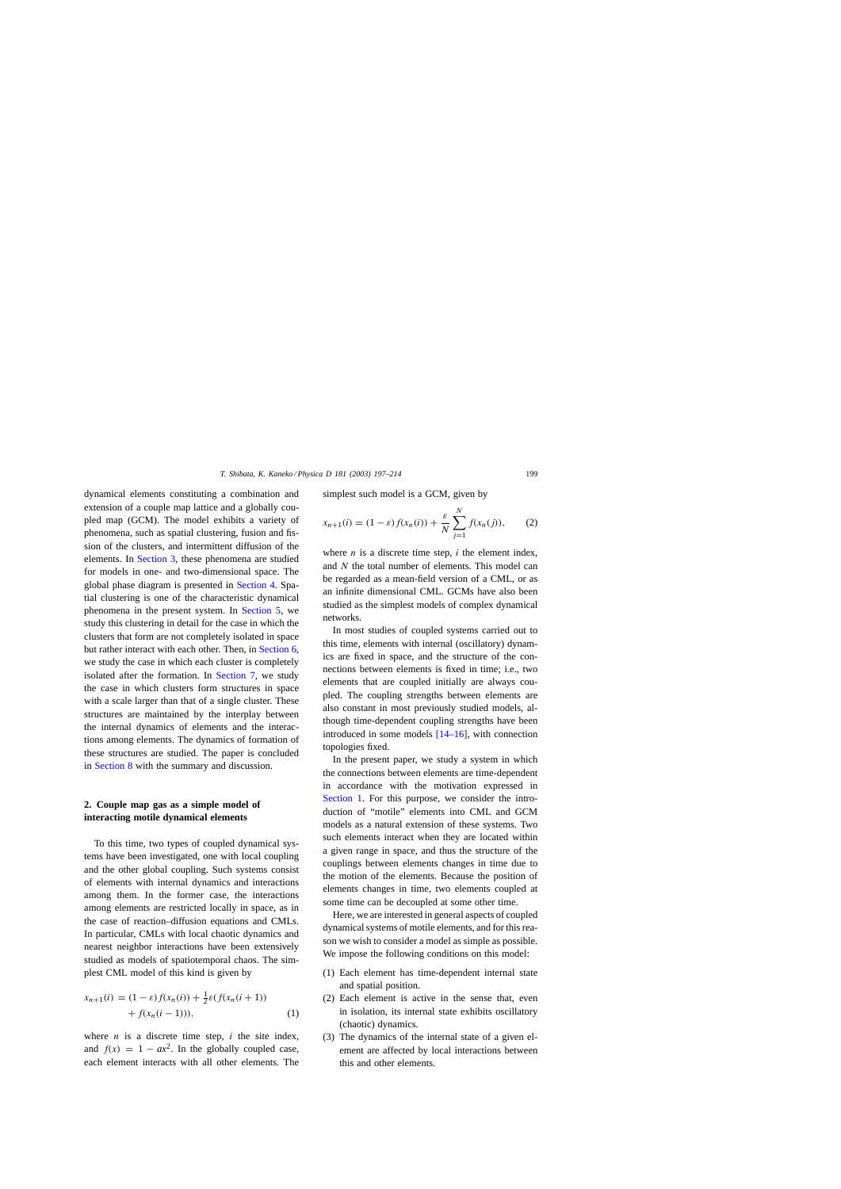<span id="page-2-0"></span>dynamical elements constituting a combination and extension of a couple map lattice and a globally coupled map (GCM). The model exhibits a variety of phenomena, such as spatial clustering, fusion and fission of the clusters, and intermittent diffusion of the elements. In [Section 3,](#page-4-0) these phenomena are studied for models in one- and two-dimensional space. The global phase diagram is presented in [Section 4.](#page-7-0) Spatial clustering is one of the characteristic dynamical phenomena in the present system. In [Section 5,](#page-11-0) we study this clustering in detail for the case in which the clusters that form are not completely isolated in space but rather interact with each other. Then, in [Section 6,](#page-13-0) we study the case in which each cluster is completely isolated after the formation. In [Section 7,](#page-15-0) we study the case in which clusters form structures in space with a scale larger than that of a single cluster. These structures are maintained by the interplay between the internal dynamics of elements and the interactions among elements. The dynamics of formation of these structures are studied. The paper is concluded in [Section 8](#page-16-0) with the summary and discussion.

## **2. Couple map gas as a simple model of interacting motile dynamical elements**

To this time, two types of coupled dynamical systems have been investigated, one with local coupling and the other global coupling. Such systems consist of elements with internal dynamics and interactions among them. In the former case, the interactions among elements are restricted locally in space, as in the case of reaction–diffusion equations and CMLs. In particular, CMLs with local chaotic dynamics and nearest neighbor interactions have been extensively studied as models of spatiotemporal chaos. The simplest CML model of this kind is given by

$$
x_{n+1}(i) = (1 - \varepsilon) f(x_n(i)) + \frac{1}{2} \varepsilon (f(x_n(i+1)) + f(x_n(i-1))), \tag{1}
$$

where  $n$  is a discrete time step,  $i$  the site index, and  $f(x) = 1 - ax^2$ . In the globally coupled case, each element interacts with all other elements. The simplest such model is a GCM, given by

$$
x_{n+1}(i) = (1 - \varepsilon)f(x_n(i)) + \frac{\varepsilon}{N} \sum_{j=1}^{N} f(x_n(j)),
$$
 (2)

where  $n$  is a discrete time step,  $i$  the element index, and N the total number of elements. This model can be regarded as a mean-field version of a CML, or as an infinite dimensional CML. GCMs have also been studied as the simplest models of complex dynamical networks.

In most studies of coupled systems carried out to this time, elements with internal (oscillatory) dynamics are fixed in space, and the structure of the connections between elements is fixed in time; i.e., two elements that are coupled initially are always coupled. The coupling strengths between elements are also constant in most previously studied models, although time-dependent coupling strengths have been introduced in some models [\[14–16\],](#page-17-0) with connection topologies fixed.

In the present paper, we study a system in which the connections between elements are time-dependent in accordance with the motivation expressed in [Section 1.](#page-0-0) For this purpose, we consider the introduction of "motile" elements into CML and GCM models as a natural extension of these systems. Two such elements interact when they are located within a given range in space, and thus the structure of the couplings between elements changes in time due to the motion of the elements. Because the position of elements changes in time, two elements coupled at some time can be decoupled at some other time.

Here, we are interested in general aspects of coupled dynamical systems of motile elements, and for this reason we wish to consider a model as simple as possible. We impose the following conditions on this model:

- (1) Each element has time-dependent internal state and spatial position.
- (2) Each element is active in the sense that, even in isolation, its internal state exhibits oscillatory (chaotic) dynamics.
- (3) The dynamics of the internal state of a given element are affected by local interactions between this and other elements.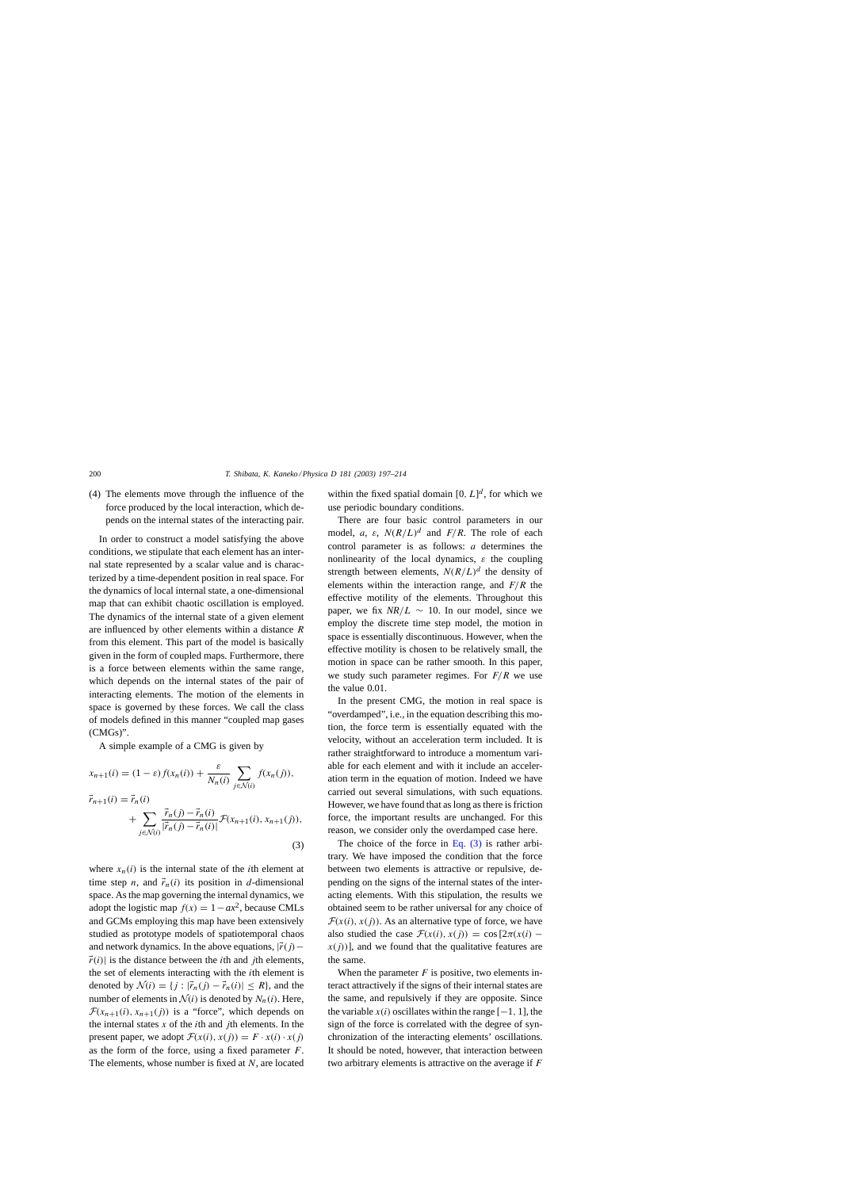<span id="page-3-0"></span>(4) The elements move through the influence of the force produced by the local interaction, which depends on the internal states of the interacting pair.

In order to construct a model satisfying the above conditions, we stipulate that each element has an internal state represented by a scalar value and is characterized by a time-dependent position in real space. For the dynamics of local internal state, a one-dimensional map that can exhibit chaotic oscillation is employed. The dynamics of the internal state of a given element are influenced by other elements within a distance R from this element. This part of the model is basically given in the form of coupled maps. Furthermore, there is a force between elements within the same range, which depends on the internal states of the pair of interacting elements. The motion of the elements in space is governed by these forces. We call the class of models defined in this manner "coupled map gases (CMGs)".

A simple example of a CMG is given by

$$
x_{n+1}(i) = (1 - \varepsilon) f(x_n(i)) + \frac{\varepsilon}{N_n(i)} \sum_{j \in \mathcal{N}(i)} f(x_n(j)),
$$
  

$$
\vec{r}_{n+1}(i) = \vec{r}_n(i) + \sum_{j \in \mathcal{N}(i)} \frac{\vec{r}_n(j) - \vec{r}_n(i)}{|\vec{r}_n(j) - \vec{r}_n(i)|} \mathcal{F}(x_{n+1}(i), x_{n+1}(j)),
$$
  
(3)

where  $x_n(i)$  is the internal state of the *i*th element at time step n, and  $\vec{r}_n(i)$  its position in d-dimensional space. As the map governing the internal dynamics, we adopt the logistic map  $f(x) = 1 - ax^2$ , because CMLs and GCMs employing this map have been extensively studied as prototype models of spatiotemporal chaos and network dynamics. In the above equations,  $|\vec{r}(j)$  –  $\vec{r}(i)$  is the distance between the *i*th and *j*th elements, the set of elements interacting with the ith element is denoted by  $\mathcal{N}(i) = \{j : |\vec{r}_n(j) - \vec{r}_n(i)| \leq R\}$ , and the number of elements in  $\mathcal{N}(i)$  is denoted by  $N_n(i)$ . Here,  $\mathcal{F}(x_{n+1}(i), x_{n+1}(j))$  is a "force", which depends on the internal states  $x$  of the *i*th and *j*th elements. In the present paper, we adopt  $\mathcal{F}(x(i), x(j)) = F \cdot x(i) \cdot x(j)$ as the form of the force, using a fixed parameter F. The elements, whose number is fixed at  $N$ , are located

within the fixed spatial domain  $[0, L]^d$ , for which we use periodic boundary conditions.

There are four basic control parameters in our model, a,  $\varepsilon$ ,  $N(R/L)^d$  and  $F/R$ . The role of each control parameter is as follows: a determines the nonlinearity of the local dynamics,  $\varepsilon$  the coupling strength between elements,  $N(R/L)^d$  the density of elements within the interaction range, and  $F/R$  the effective motility of the elements. Throughout this paper, we fix  $NR/L \sim 10$ . In our model, since we employ the discrete time step model, the motion in space is essentially discontinuous. However, when the effective motility is chosen to be relatively small, the motion in space can be rather smooth. In this paper, we study such parameter regimes. For  $F/R$  we use the value 0.01.

In the present CMG, the motion in real space is "overdamped", i.e., in the equation describing this motion, the force term is essentially equated with the velocity, without an acceleration term included. It is rather straightforward to introduce a momentum variable for each element and with it include an acceleration term in the equation of motion. Indeed we have carried out several simulations, with such equations. However, we have found that as long as there is friction force, the important results are unchanged. For this reason, we consider only the overdamped case here.

The choice of the force in Eq. (3) is rather arbitrary. We have imposed the condition that the force between two elements is attractive or repulsive, depending on the signs of the internal states of the interacting elements. With this stipulation, the results we obtained seem to be rather universal for any choice of  $\mathcal{F}(x(i), x(j))$ . As an alternative type of force, we have also studied the case  $\mathcal{F}(x(i), x(j)) = \cos [2\pi (x(i)$  $x(j)$ ], and we found that the qualitative features are the same.

When the parameter  $F$  is positive, two elements interact attractively if the signs of their internal states are the same, and repulsively if they are opposite. Since the variable  $x(i)$  oscillates within the range  $[-1, 1]$ , the sign of the force is correlated with the degree of synchronization of the interacting elements' oscillations. It should be noted, however, that interaction between two arbitrary elements is attractive on the average if  $F$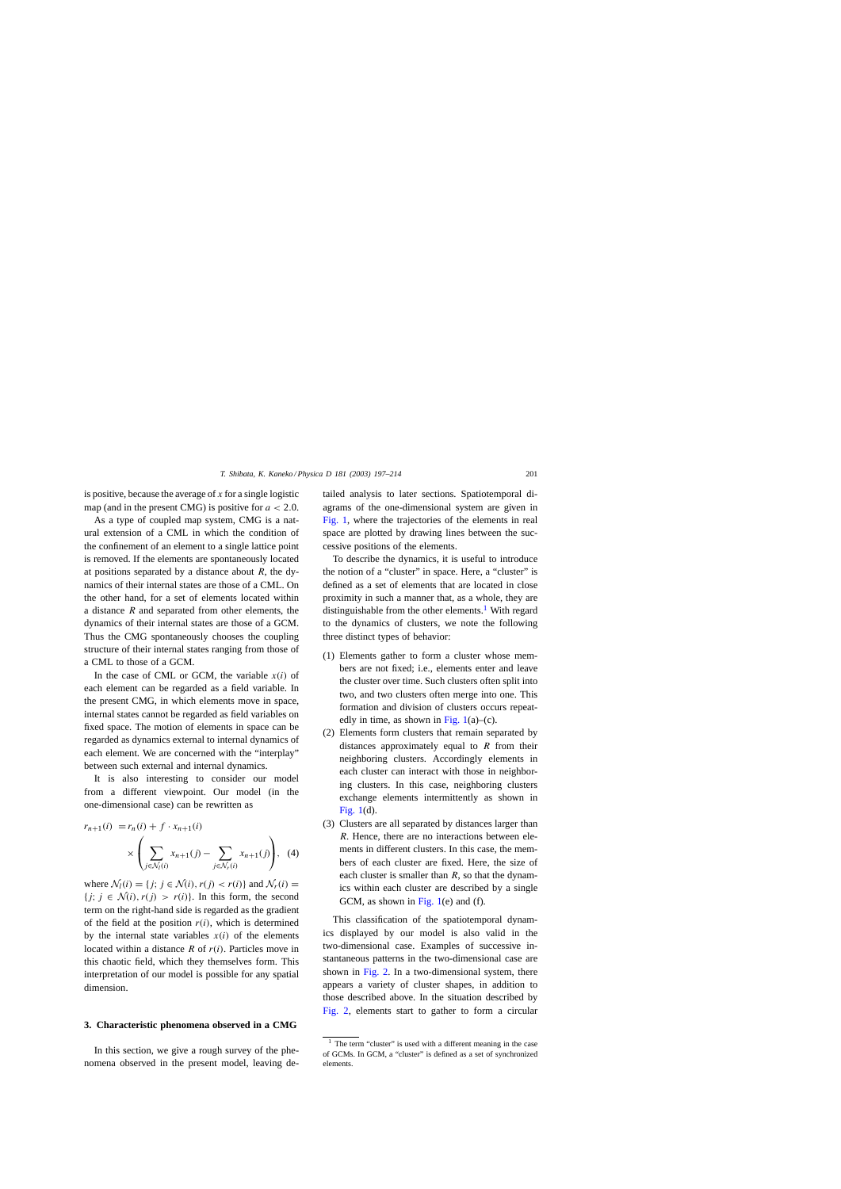<span id="page-4-0"></span>is positive, because the average of  $x$  for a single logistic map (and in the present CMG) is positive for  $a < 2.0$ .

As a type of coupled map system, CMG is a natural extension of a CML in which the condition of the confinement of an element to a single lattice point is removed. If the elements are spontaneously located at positions separated by a distance about  $R$ , the dynamics of their internal states are those of a CML. On the other hand, for a set of elements located within a distance  $R$  and separated from other elements, the dynamics of their internal states are those of a GCM. Thus the CMG spontaneously chooses the coupling structure of their internal states ranging from those of a CML to those of a GCM.

In the case of CML or GCM, the variable  $x(i)$  of each element can be regarded as a field variable. In the present CMG, in which elements move in space, internal states cannot be regarded as field variables on fixed space. The motion of elements in space can be regarded as dynamics external to internal dynamics of each element. We are concerned with the "interplay" between such external and internal dynamics.

It is also interesting to consider our model from a different viewpoint. Our model (in the one-dimensional case) can be rewritten as

$$
r_{n+1}(i) = r_n(i) + f \cdot x_{n+1}(i)
$$
  
 
$$
\times \left( \sum_{j \in \mathcal{N}_i(i)} x_{n+1}(j) - \sum_{j \in \mathcal{N}_r(i)} x_{n+1}(j) \right), \quad (4)
$$

where  $\mathcal{N}_l(i) = \{j; j \in \mathcal{N}(i), r(j) < r(i)\}\$ and  $\mathcal{N}_r(i) =$  ${j; j \in \mathcal{N}(i), r(j) > r(i)}$ . In this form, the second term on the right-hand side is regarded as the gradient of the field at the position  $r(i)$ , which is determined by the internal state variables  $x(i)$  of the elements located within a distance  $R$  of  $r(i)$ . Particles move in this chaotic field, which they themselves form. This interpretation of our model is possible for any spatial dimension.

### **3. Characteristic phenomena observed in a CMG**

In this section, we give a rough survey of the phenomena observed in the present model, leaving detailed analysis to later sections. Spatiotemporal diagrams of the one-dimensional system are given in [Fig. 1,](#page-5-0) where the trajectories of the elements in real space are plotted by drawing lines between the successive positions of the elements.

To describe the dynamics, it is useful to introduce the notion of a "cluster" in space. Here, a "cluster" is defined as a set of elements that are located in close proximity in such a manner that, as a whole, they are distinguishable from the other elements.<sup>1</sup> With regard to the dynamics of clusters, we note the following three distinct types of behavior:

- (1) Elements gather to form a cluster whose members are not fixed; i.e., elements enter and leave the cluster over time. Such clusters often split into two, and two clusters often merge into one. This formation and division of clusters occurs repeatedly in time, as shown in Fig.  $1(a)$ –(c).
- (2) Elements form clusters that remain separated by distances approximately equal to  $R$  from their neighboring clusters. Accordingly elements in each cluster can interact with those in neighboring clusters. In this case, neighboring clusters exchange elements intermittently as shown in [Fig. 1\(d](#page-5-0)).
- (3) Clusters are all separated by distances larger than R. Hence, there are no interactions between elements in different clusters. In this case, the members of each cluster are fixed. Here, the size of each cluster is smaller than  $R$ , so that the dynamics within each cluster are described by a single GCM, as shown in [Fig. 1\(e](#page-5-0)) and (f).

This classification of the spatiotemporal dynamics displayed by our model is also valid in the two-dimensional case. Examples of successive instantaneous patterns in the two-dimensional case are shown in [Fig. 2.](#page-6-0) In a two-dimensional system, there appears a variety of cluster shapes, in addition to those described above. In the situation described by [Fig. 2,](#page-6-0) elements start to gather to form a circular

 $1$  The term "cluster" is used with a different meaning in the case of GCMs. In GCM, a "cluster" is defined as a set of synchronized elements.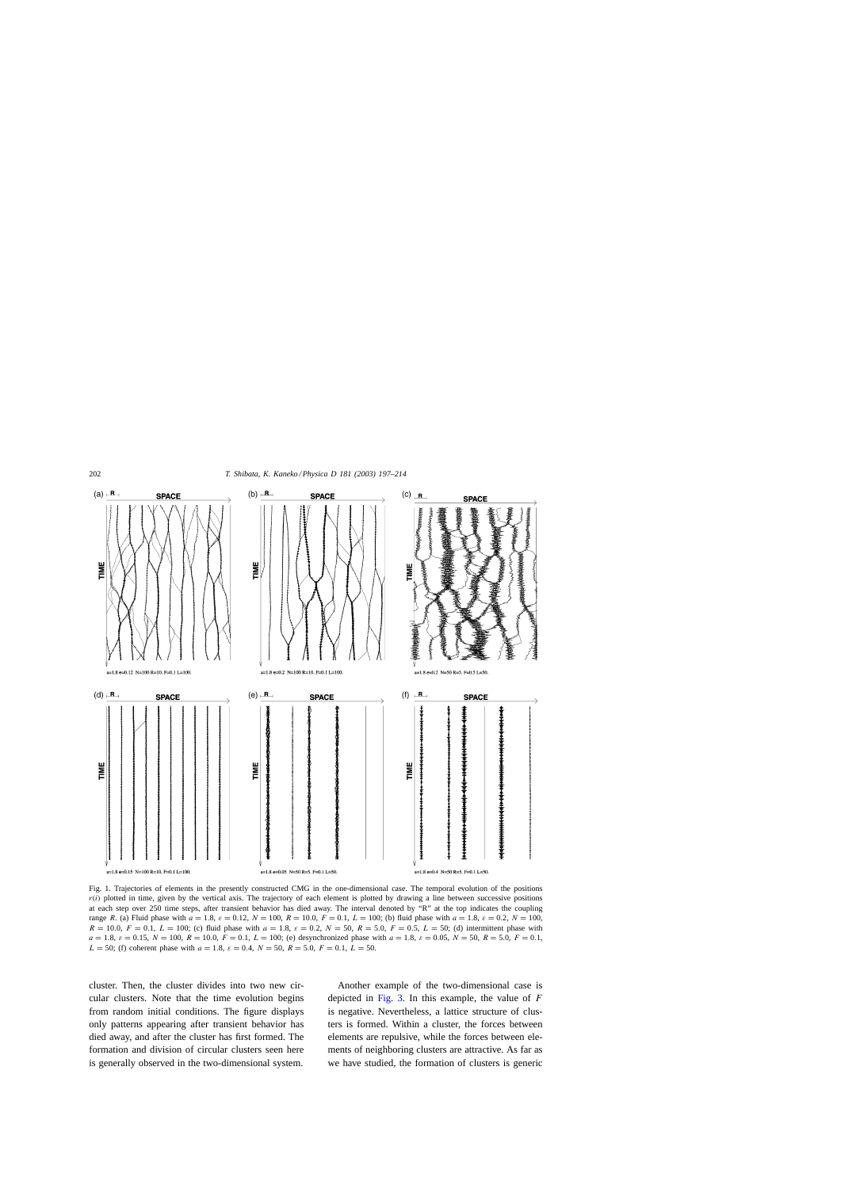

Fig. 1. Trajectories of elements in the presently constructed CMG in the one-dimensional case. The temporal evolution of the positions  $r(i)$  plotted in time, given by the vertical axis. The trajectory of each element is plotted by drawing a line between successive positions at each step over 250 time steps, after transient behavior has died away. The interval denoted by "R" at the top indicates the coupling range R. (a) Fluid phase with  $a = 1.8$ ,  $\varepsilon = 0.12$ ,  $N = 100$ ,  $R = 10.0$ ,  $F = 0.1$ ,  $L = 100$ ; (b) fluid phase with  $a = 1.8$ ,  $\varepsilon = 0.2$ ,  $N = 100$ ,  $R = 10.0, F = 0.1, L = 100$ ; (c) fluid phase with  $a = 1.8, \varepsilon = 0.2, N = 50, R = 5.0, F = 0.5, L = 50$ ; (d) intermittent phase with  $a = 1.8, \varepsilon = 0.15, N = 100, R = 10.0, F = 0.1, L = 100$ ; (e) desynchronized phase with  $a = 1.8, \varepsilon = 0.05, N = 50, R = 5.0, F = 0.1$ ,  $L = 50$ ; (f) coherent phase with  $a = 1.8$ ,  $\varepsilon = 0.4$ ,  $N = 50$ ,  $R = 5.0$ ,  $F = 0.1$ ,  $L = 50$ .

cluster. Then, the cluster divides into two new circular clusters. Note that the time evolution begins from random initial conditions. The figure displays only patterns appearing after transient behavior has died away, and after the cluster has first formed. The formation and division of circular clusters seen here is generally observed in the two-dimensional system.

Another example of the two-dimensional case is depicted in [Fig. 3.](#page-7-0) In this example, the value of  $F$ is negative. Nevertheless, a lattice structure of clusters is formed. Within a cluster, the forces between elements are repulsive, while the forces between elements of neighboring clusters are attractive. As far as we have studied, the formation of clusters is generic

<span id="page-5-0"></span>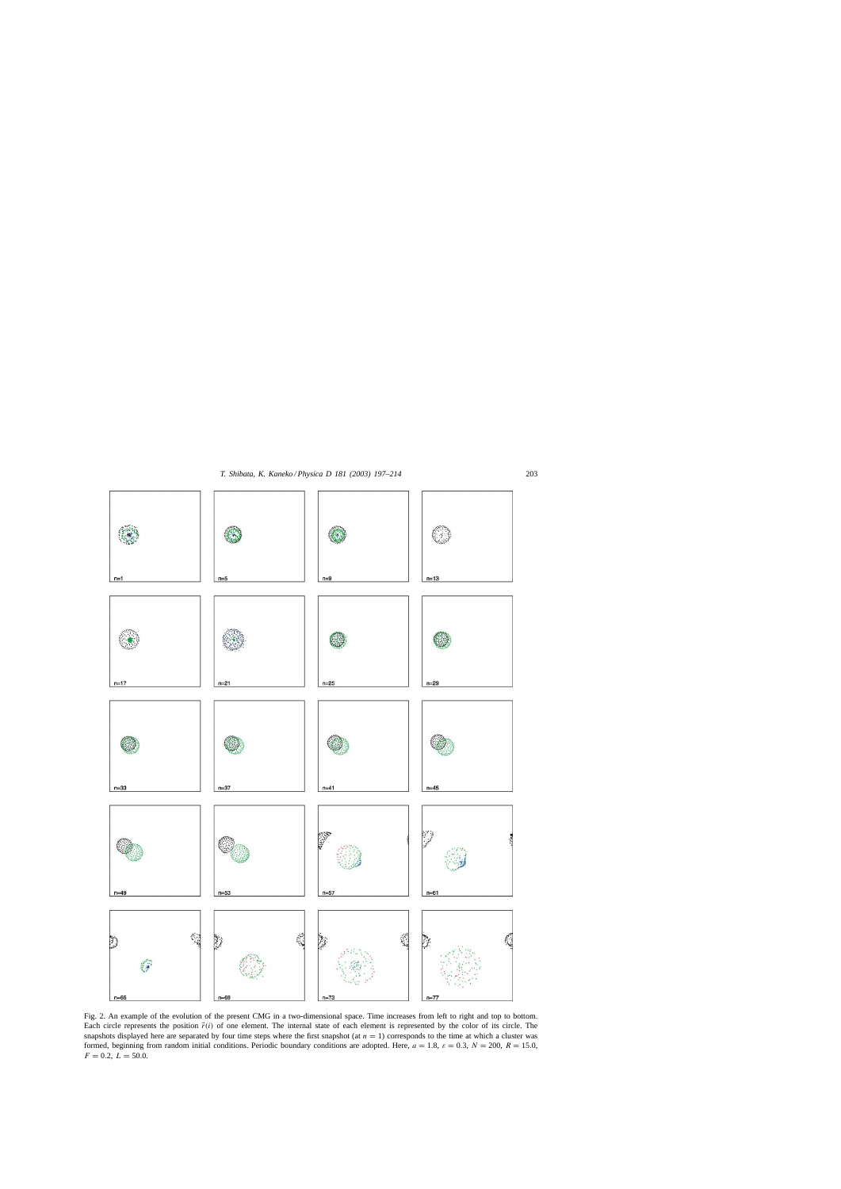<span id="page-6-0"></span>

Fig. 2. An example of the evolution of the present CMG in a two-dimensional space. Time increases from left to right and top to bottom. Each circle represents the position  $\vec{r}(i)$  of one element. The internal state of each element is represented by the color of its circle. The snapshots displayed here are separated by four time steps where the first snapshot (at  $n = 1$ ) corresponds to the time at which a cluster was formed, beginning from random initial conditions. Periodic boundary conditions are adopted. Here,  $a = 1.8$ ,  $\varepsilon = 0.3$ ,  $N = 200$ ,  $R = 15.0$ ,  $F = 0.2, L = 50.0.$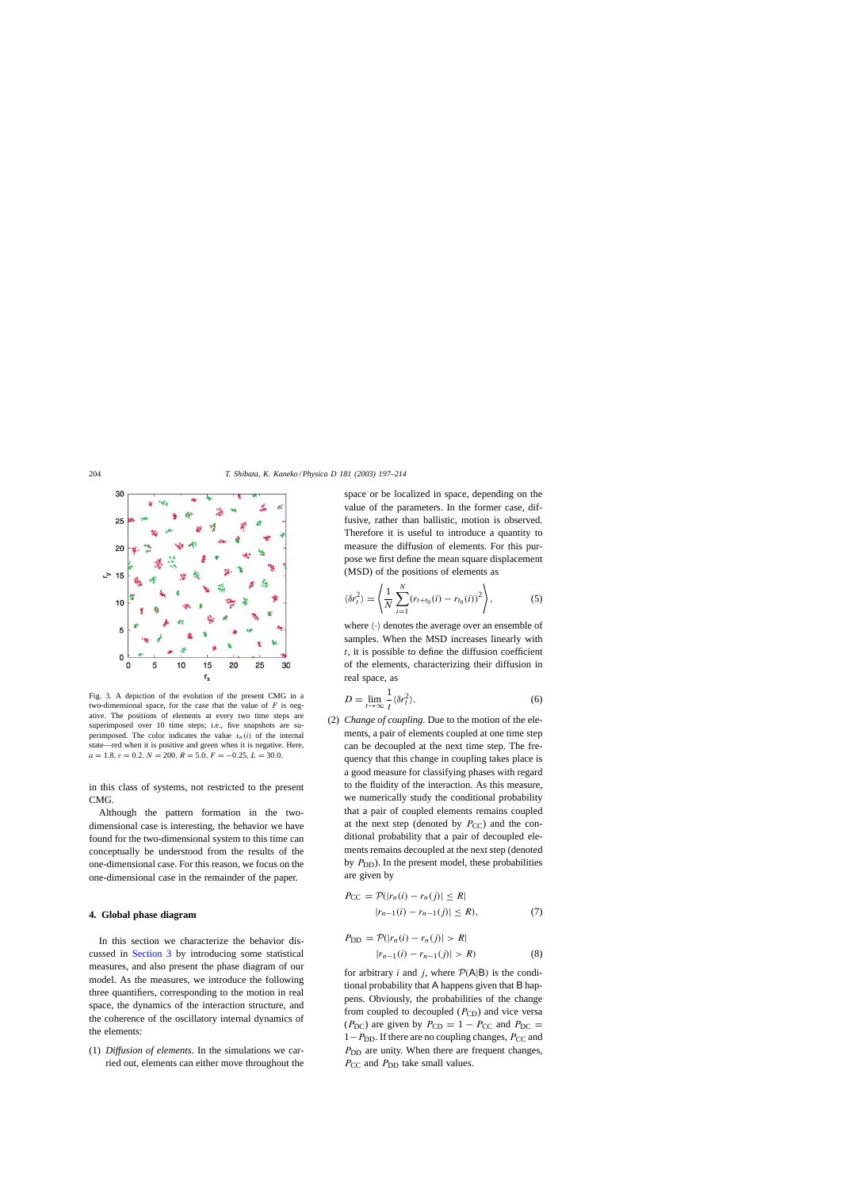<span id="page-7-0"></span>

Fig. 3. A depiction of the evolution of the present CMG in a two-dimensional space, for the case that the value of  $F$  is negative. The positions of elements at every two time steps are superimposed over 10 time steps; i.e., five snapshots are superimposed. The color indicates the value  $x_n(i)$  of the internal state—red when it is positive and green when it is negative. Here,  $a = 1.8, \varepsilon = 0.2, N = 200, R = 5.0, F = -0.25, L = 30.0.$ 

in this class of systems, not restricted to the present CMG.

Although the pattern formation in the twodimensional case is interesting, the behavior we have found for the two-dimensional system to this time can conceptually be understood from the results of the one-dimensional case. For this reason, we focus on the one-dimensional case in the remainder of the paper.

## **4. Global phase diagram**

In this section we characterize the behavior discussed in [Section 3](#page-4-0) by introducing some statistical measures, and also present the phase diagram of our model. As the measures, we introduce the following three quantifiers, corresponding to the motion in real space, the dynamics of the interaction structure, and the coherence of the oscillatory internal dynamics of the elements:

(1) *Diffusion of elements*. In the simulations we carried out, elements can either move throughout the space or be localized in space, depending on the value of the parameters. In the former case, diffusive, rather than ballistic, motion is observed. Therefore it is useful to introduce a quantity to measure the diffusion of elements. For this purpose we first define the mean square displacement (MSD) of the positions of elements as

$$
\langle \delta r_t^2 \rangle = \left\langle \frac{1}{N} \sum_{i=1}^N (r_{t+t_0}(i) - r_{t_0}(i))^2 \right\rangle, \tag{5}
$$

where  $\langle \cdot \rangle$  denotes the average over an ensemble of samples. When the MSD increases linearly with  $t$ , it is possible to define the diffusion coefficient of the elements, characterizing their diffusion in real space, as

$$
D = \lim_{t \to \infty} \frac{1}{t} \langle \delta r_t^2 \rangle.
$$
 (6)

(2) *Change of coupling*. Due to the motion of the elements, a pair of elements coupled at one time step can be decoupled at the next time step. The frequency that this change in coupling takes place is a good measure for classifying phases with regard to the fluidity of the interaction. As this measure, we numerically study the conditional probability that a pair of coupled elements remains coupled at the next step (denoted by  $P_{CC}$ ) and the conditional probability that a pair of decoupled elements remains decoupled at the next step (denoted by  $P_{DD}$ ). In the present model, these probabilities are given by

$$
P_{CC} = \mathcal{P}(|r_n(i) - r_n(j)| \le R|
$$
  

$$
|r_{n-1}(i) - r_{n-1}(j)| \le R,
$$
 (7)

$$
P_{\text{DD}} = \mathcal{P}(|r_n(i) - r_n(j)| > R|
$$
  

$$
|r_{n-1}(i) - r_{n-1}(j)| > R)
$$
 (8)

for arbitrary *i* and *j*, where  $P(A|B)$  is the conditional probability that A happens given that B happens. Obviously, the probabilities of the change from coupled to decoupled  $(P_{CD})$  and vice versa  $(P_{DC})$  are given by  $P_{CD} = 1 - P_{CC}$  and  $P_{DC} =$  $1-P_{DD}$ . If there are no coupling changes,  $P_{CC}$  and  $P_{\text{DD}}$  are unity. When there are frequent changes,  $P_{\text{CC}}$  and  $P_{\text{DD}}$  take small values.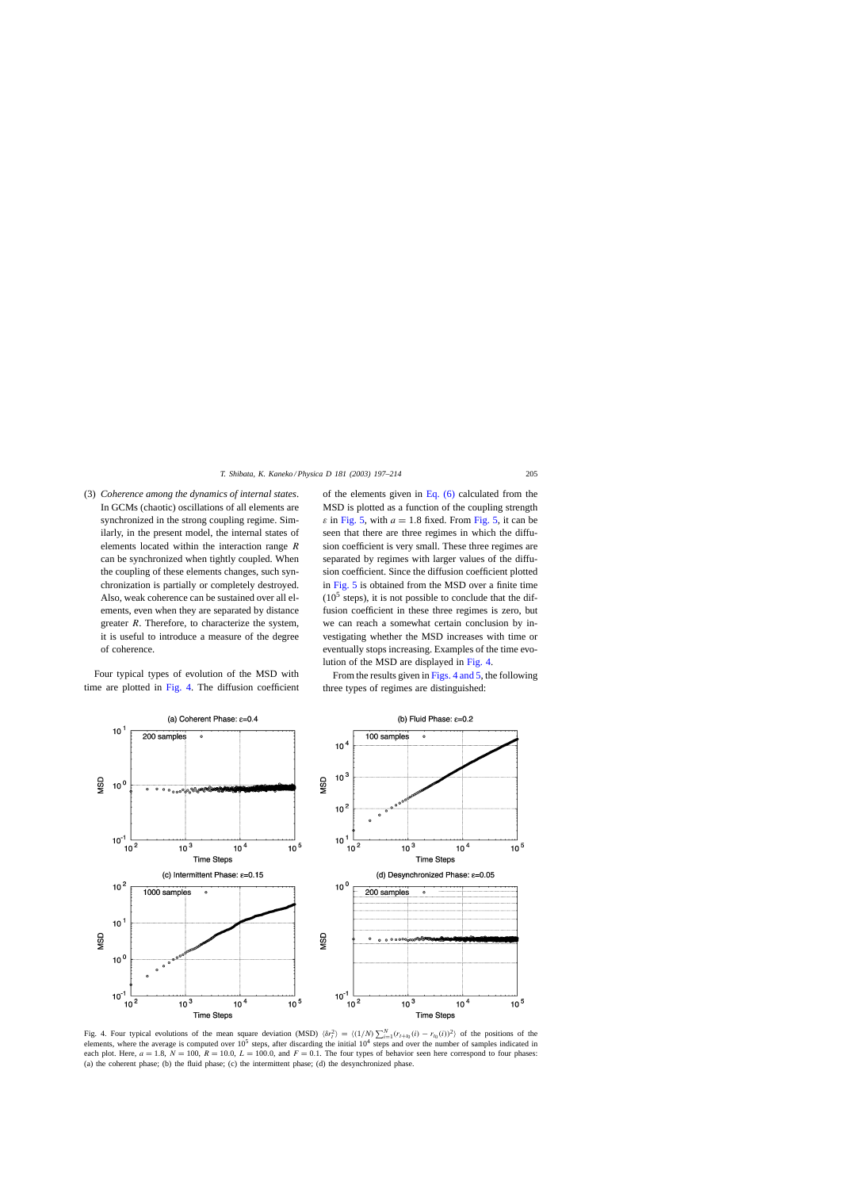<span id="page-8-0"></span>(3) *Coherence among the dynamics of internal states*. In GCMs (chaotic) oscillations of all elements are synchronized in the strong coupling regime. Similarly, in the present model, the internal states of elements located within the interaction range R can be synchronized when tightly coupled. When the coupling of these elements changes, such synchronization is partially or completely destroyed. Also, weak coherence can be sustained over all elements, even when they are separated by distance greater R. Therefore, to characterize the system, it is useful to introduce a measure of the degree of coherence.

Four typical types of evolution of the MSD with time are plotted in Fig. 4. The diffusion coefficient of the elements given in Eq.  $(6)$  calculated from the MSD is plotted as a function of the coupling strength  $\varepsilon$  in [Fig. 5,](#page-9-0) with  $a = 1.8$  fixed. From Fig. 5, it can be seen that there are three regimes in which the diffusion coefficient is very small. These three regimes are separated by regimes with larger values of the diffusion coefficient. Since the diffusion coefficient plotted in [Fig. 5](#page-9-0) is obtained from the MSD over a finite time  $(10<sup>5</sup>$  steps), it is not possible to conclude that the diffusion coefficient in these three regimes is zero, but we can reach a somewhat certain conclusion by investigating whether the MSD increases with time or eventually stops increasing. Examples of the time evolution of the MSD are displayed in Fig. 4.

From the results given in Figs. 4 and 5, the following three types of regimes are distinguished:



Fig. 4. Four typical evolutions of the mean square deviation (MSD)  $\langle \delta r_i^2 \rangle = \langle (1/N) \sum_{i=1}^N (r_{t+t_0} (i) - r_{t_0} (i))^2 \rangle$  of the positions of the elements, where the average is computed over  $10^5$  steps, after discarding the initial  $10^4$  steps and over the number of samples indicated in each plot. Here,  $a = 1.8$ ,  $N = 100$ ,  $R = 10.0$ ,  $L = 100.0$ , and  $F = 0.1$ . The four types of behavior seen here correspond to four phases: (a) the coherent phase; (b) the fluid phase; (c) the intermittent phase; (d) the desynchronized phase.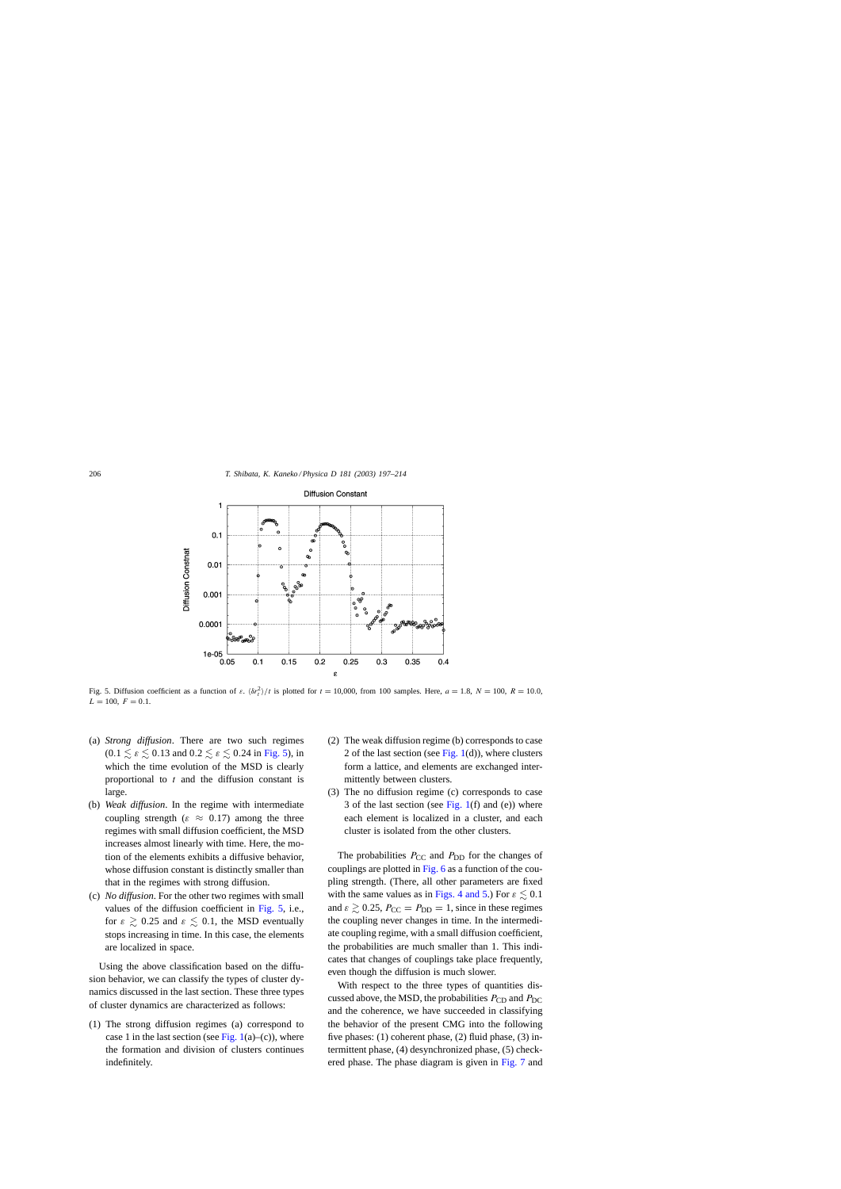<span id="page-9-0"></span>

Fig. 5. Diffusion coefficient as a function of  $\varepsilon$ .  $\frac{\delta r_t^2}{t}$  is plotted for  $t = 10,000$ , from 100 samples. Here,  $a = 1.8$ ,  $N = 100$ ,  $R = 10.0$ ,  $L = 100, F = 0.1.$ 

- (a) *Strong diffusion*. There are two such regimes  $(0.1 \leq \varepsilon \leq 0.13$  and  $0.2 \leq \varepsilon \leq 0.24$  in Fig. 5), in which the time evolution of the MSD is clearly proportional to  $t$  and the diffusion constant is large.
- (b) *Weak diffusion*. In the regime with intermediate coupling strength ( $\varepsilon \approx 0.17$ ) among the three regimes with small diffusion coefficient, the MSD increases almost linearly with time. Here, the motion of the elements exhibits a diffusive behavior, whose diffusion constant is distinctly smaller than that in the regimes with strong diffusion.
- (c) *No diffusion*. For the other two regimes with small values of the diffusion coefficient in Fig. 5, i.e., for  $\varepsilon \gtrsim 0.25$  and  $\varepsilon \lesssim 0.1$ , the MSD eventually stops increasing in time. In this case, the elements are localized in space.

Using the above classification based on the diffusion behavior, we can classify the types of cluster dynamics discussed in the last section. These three types of cluster dynamics are characterized as follows:

(1) The strong diffusion regimes (a) correspond to case 1 in the last section (see Fig.  $1(a)$ –(c)), where the formation and division of clusters continues indefinitely.

- (2) The weak diffusion regime (b) corresponds to case 2 of the last section (see Fig.  $1(d)$ ), where clusters form a lattice, and elements are exchanged intermittently between clusters.
- (3) The no diffusion regime (c) corresponds to case 3 of the last section (see [Fig. 1\(f](#page-5-0)) and (e)) where each element is localized in a cluster, and each cluster is isolated from the other clusters.

The probabilities  $P_{CC}$  and  $P_{DD}$  for the changes of couplings are plotted in [Fig. 6](#page-10-0) as a function of the coupling strength. (There, all other parameters are fixed with the same values as in [Figs. 4 and 5.\)](#page-8-0) For  $\varepsilon \lesssim 0.1$ and  $\varepsilon \gtrsim 0.25$ ,  $P_{\text{CC}} = P_{\text{DD}} = 1$ , since in these regimes the coupling never changes in time. In the intermediate coupling regime, with a small diffusion coefficient, the probabilities are much smaller than 1. This indicates that changes of couplings take place frequently, even though the diffusion is much slower.

With respect to the three types of quantities discussed above, the MSD, the probabilities  $P_{\text{CD}}$  and  $P_{\text{DC}}$ and the coherence, we have succeeded in classifying the behavior of the present CMG into the following five phases: (1) coherent phase, (2) fluid phase, (3) intermittent phase, (4) desynchronized phase, (5) checkered phase. The phase diagram is given in [Fig. 7](#page-10-0) and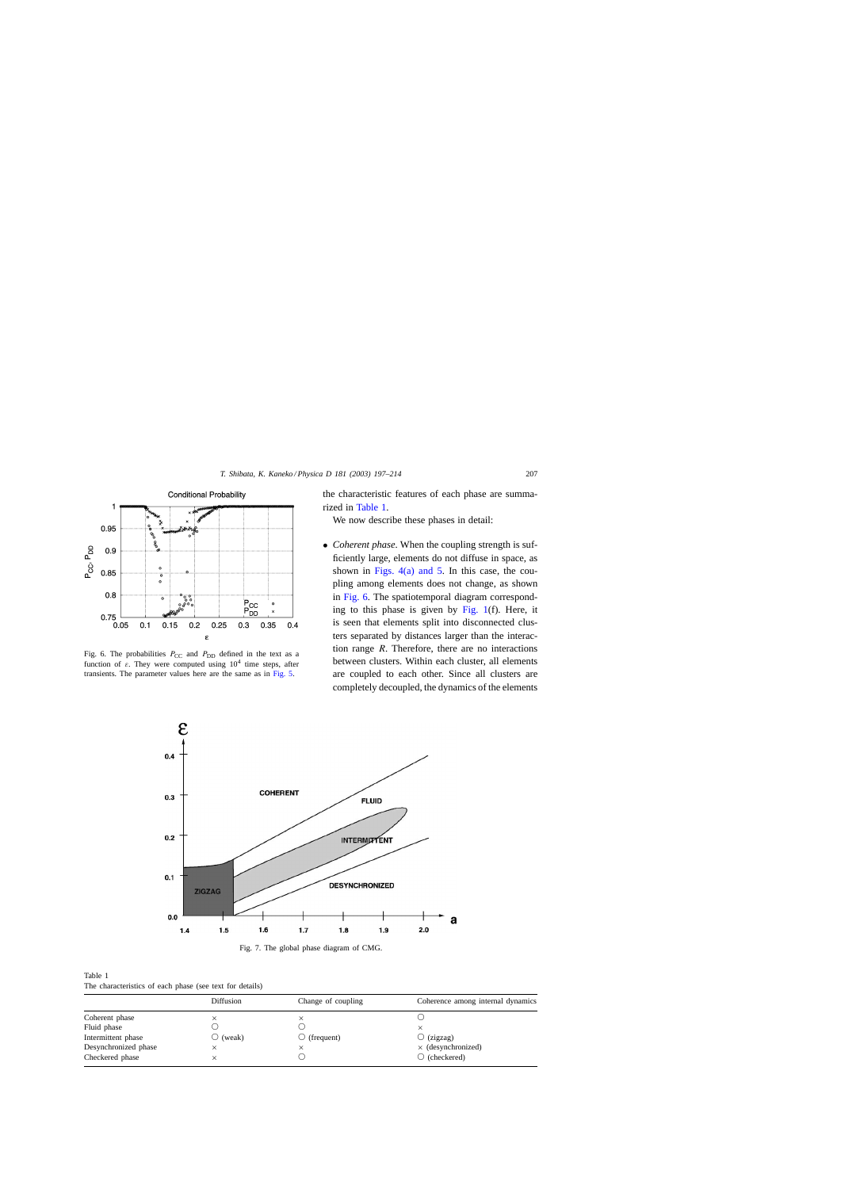<span id="page-10-0"></span>

Fig. 6. The probabilities  $P_{\text{CC}}$  and  $P_{\text{DD}}$  defined in the text as a function of  $\varepsilon$ . They were computed using  $10^4$  time steps, after transients. The parameter values here are the same as in [Fig. 5.](#page-9-0)

the characteristic features of each phase are summarized in Table 1.

We now describe these phases in detail:

• *Coherent phase*. When the coupling strength is sufficiently large, elements do not diffuse in space, as shown in Figs.  $4(a)$  and 5. In this case, the coupling among elements does not change, as shown in Fig. 6. The spatiotemporal diagram corresponding to this phase is given by [Fig. 1\(](#page-5-0)f). Here, it is seen that elements split into disconnected clusters separated by distances larger than the interaction range  $R$ . Therefore, there are no interactions between clusters. Within each cluster, all elements are coupled to each other. Since all clusters are completely decoupled, the dynamics of the elements



Fig. 7. The global phase diagram of CMG.

Table 1 The characteristics of each phase (see text for details)

|                      | Diffusion | Change of coupling    | Coherence among internal dynamics |
|----------------------|-----------|-----------------------|-----------------------------------|
|                      |           |                       |                                   |
| Coherent phase       |           |                       |                                   |
| Fluid phase          |           |                       |                                   |
| Intermittent phase   | (weak)    | $\bigcirc$ (frequent) | $\bigcirc$ (zigzag)               |
| Desynchronized phase |           |                       | $\times$ (desynchronized)         |
| Checkered phase      |           |                       | $\bigcirc$ (checkered)            |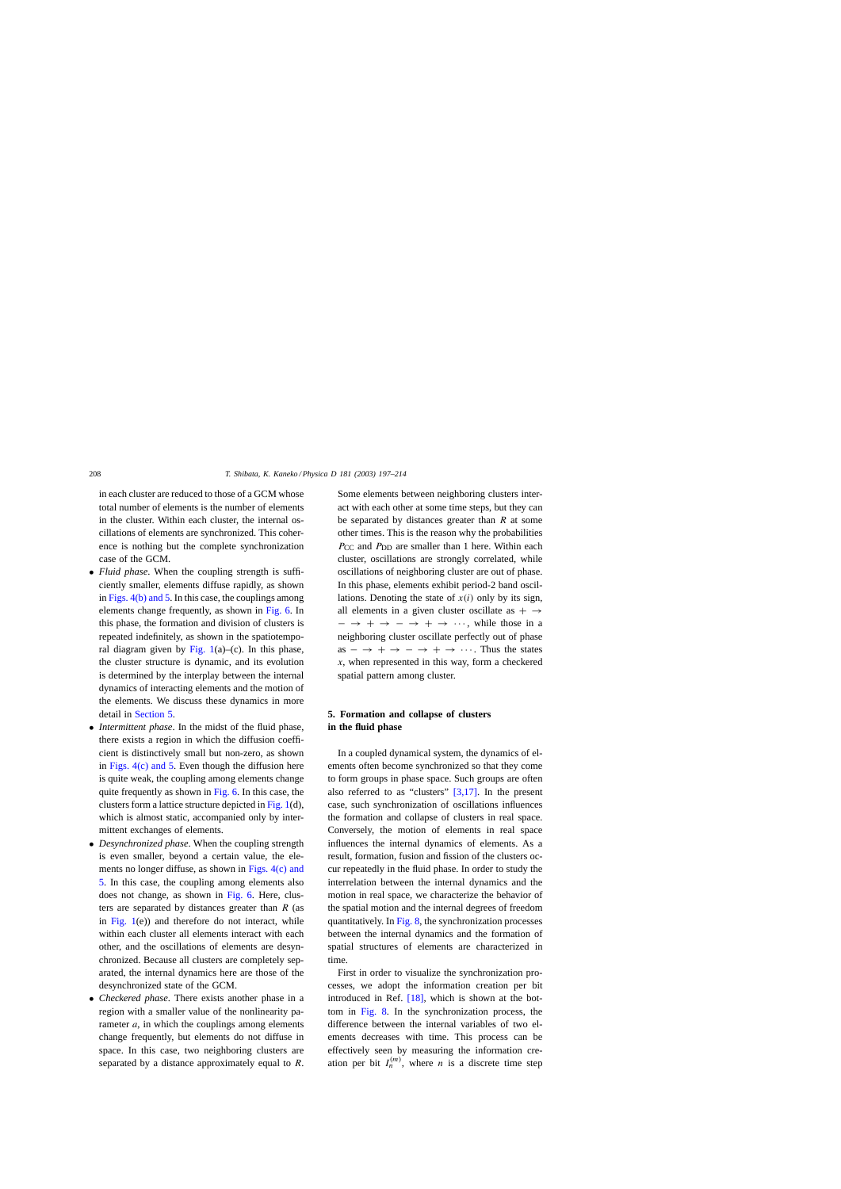<span id="page-11-0"></span>in each cluster are reduced to those of a GCM whose total number of elements is the number of elements in the cluster. Within each cluster, the internal oscillations of elements are synchronized. This coherence is nothing but the complete synchronization case of the GCM.

- *Fluid phase*. When the coupling strength is sufficiently smaller, elements diffuse rapidly, as shown in [Figs. 4\(b\) and 5. In](#page-8-0) this case, the couplings among elements change frequently, as shown in [Fig. 6.](#page-10-0) In this phase, the formation and division of clusters is repeated indefinitely, as shown in the spatiotemporal diagram given by Fig.  $1(a)$ –(c). In this phase, the cluster structure is dynamic, and its evolution is determined by the interplay between the internal dynamics of interacting elements and the motion of the elements. We discuss these dynamics in more detail in Section 5.
- *Intermittent phase*. In the midst of the fluid phase, there exists a region in which the diffusion coefficient is distinctively small but non-zero, as shown in Figs.  $4(c)$  and 5. Even though the diffusion here is quite weak, the coupling among elements change quite frequently as shown in [Fig. 6. I](#page-10-0)n this case, the clusters form a lattice structure depicted in [Fig. 1\(d](#page-5-0)), which is almost static, accompanied only by intermittent exchanges of elements.
- *Desynchronized phase*. When the coupling strength is even smaller, beyond a certain value, the elements no longer diffuse, as shown in [Figs. 4\(c\) and](#page-8-0) [5.](#page-8-0) In this case, the coupling among elements also does not change, as shown in [Fig. 6.](#page-10-0) Here, clusters are separated by distances greater than  $R$  (as in Fig.  $1(e)$  and therefore do not interact, while within each cluster all elements interact with each other, and the oscillations of elements are desynchronized. Because all clusters are completely separated, the internal dynamics here are those of the desynchronized state of the GCM.
- *Checkered phase*. There exists another phase in a region with a smaller value of the nonlinearity parameter  $a$ , in which the couplings among elements change frequently, but elements do not diffuse in space. In this case, two neighboring clusters are separated by a distance approximately equal to R.

Some elements between neighboring clusters interact with each other at some time steps, but they can be separated by distances greater than  $R$  at some other times. This is the reason why the probabilities  $P_{\rm CC}$  and  $P_{\rm DD}$  are smaller than 1 here. Within each cluster, oscillations are strongly correlated, while oscillations of neighboring cluster are out of phase. In this phase, elements exhibit period-2 band oscillations. Denoting the state of  $x(i)$  only by its sign, all elements in a given cluster oscillate as  $+ \rightarrow$  $-\rightarrow + \rightarrow - \rightarrow + \rightarrow \cdots$ , while those in a neighboring cluster oscillate perfectly out of phase as  $-\rightarrow + \rightarrow - \rightarrow + \rightarrow \cdots$ . Thus the states  $x$ , when represented in this way, form a checkered spatial pattern among cluster.

## **5. Formation and collapse of clusters in the fluid phase**

In a coupled dynamical system, the dynamics of elements often become synchronized so that they come to form groups in phase space. Such groups are often also referred to as "clusters"  $[3,17]$ . In the present case, such synchronization of oscillations influences the formation and collapse of clusters in real space. Conversely, the motion of elements in real space influences the internal dynamics of elements. As a result, formation, fusion and fission of the clusters occur repeatedly in the fluid phase. In order to study the interrelation between the internal dynamics and the motion in real space, we characterize the behavior of the spatial motion and the internal degrees of freedom quantitatively. In [Fig. 8, t](#page-12-0)he synchronization processes between the internal dynamics and the formation of spatial structures of elements are characterized in time.

First in order to visualize the synchronization processes, we adopt the information creation per bit introduced in Ref. [\[18\],](#page-17-0) which is shown at the bottom in [Fig. 8.](#page-12-0) In the synchronization process, the difference between the internal variables of two elements decreases with time. This process can be effectively seen by measuring the information creation per bit  $I_n^{(m)}$ , where *n* is a discrete time step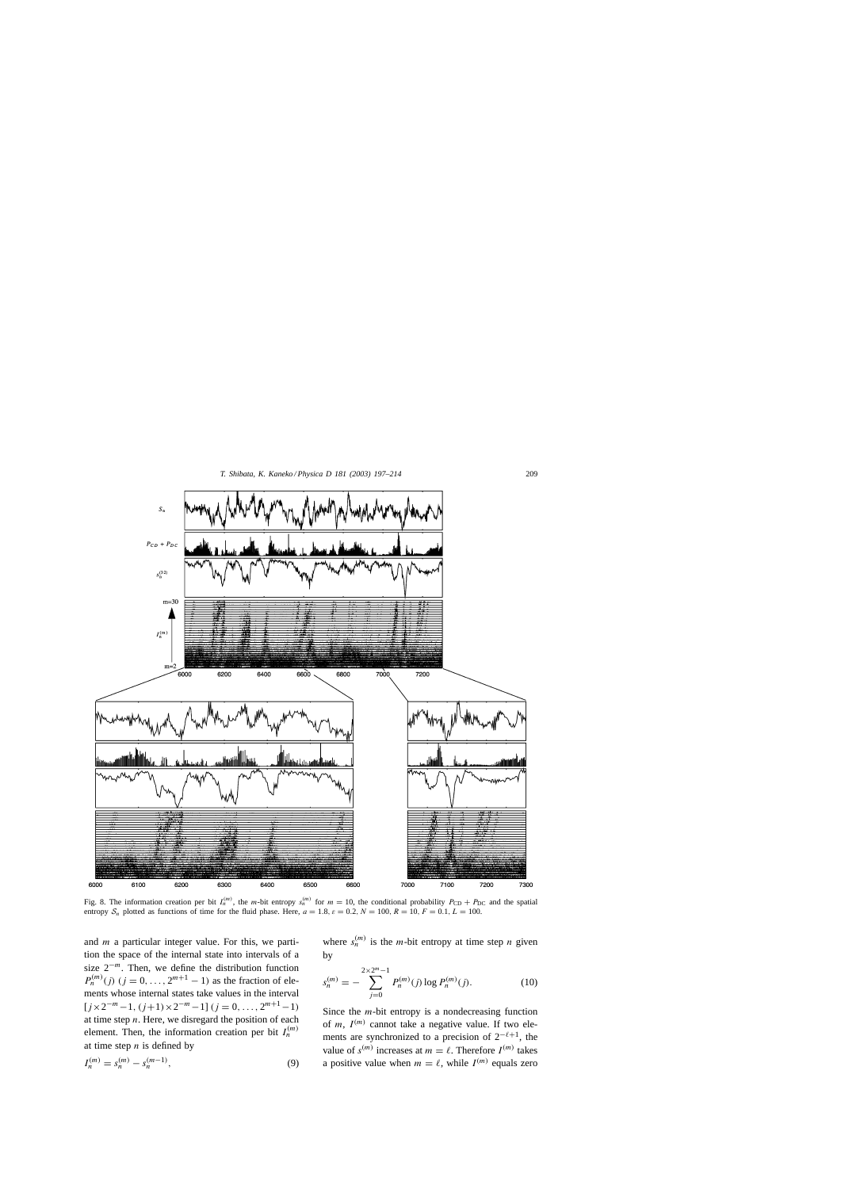<span id="page-12-0"></span>

Fig. 8. The information creation per bit  $I_n^{(m)}$ , the m-bit entropy  $s_n^{(m)}$  for  $m = 10$ , the conditional probability  $P_{CD} + P_{DC}$  and the spatial entropy  $S_n$  plotted as functions of time for the fluid phase. Here,  $a = 1.8$ ,  $\varepsilon = 0.2$ ,  $N = 100$ ,  $R = 10$ ,  $F = 0.1$ ,  $L = 100$ .

and m a particular integer value. For this, we partition the space of the internal state into intervals of a size  $2^{-m}$ . Then, we define the distribution function  $P_n^{(m)}(j)$  ( $j = 0, ..., 2^{m+1} - 1$ ) as the fraction of elements whose internal states take values in the interval  $[j \times 2^{-m} - 1, (j+1) \times 2^{-m} - 1]$   $(j = 0, ..., 2^{m+1} - 1)$ at time step  $n$ . Here, we disregard the position of each element. Then, the information creation per bit  $I_n^{(m)}$ at time step  $n$  is defined by

$$
I_n^{(m)} = s_n^{(m)} - s_n^{(m-1)},
$$
\n(9)

where  $s_n^{(m)}$  is the *m*-bit entropy at time step *n* given by

$$
s_n^{(m)} = -\sum_{j=0}^{2 \times 2^m - 1} P_n^{(m)}(j) \log P_n^{(m)}(j).
$$
 (10)

Since the  $m$ -bit entropy is a nondecreasing function of m,  $I^{(m)}$  cannot take a negative value. If two elements are synchronized to a precision of  $2^{-\ell+1}$ , the value of  $s^{(m)}$  increases at  $m = \ell$ . Therefore  $I^{(m)}$  takes a positive value when  $m = \ell$ , while  $I^{(m)}$  equals zero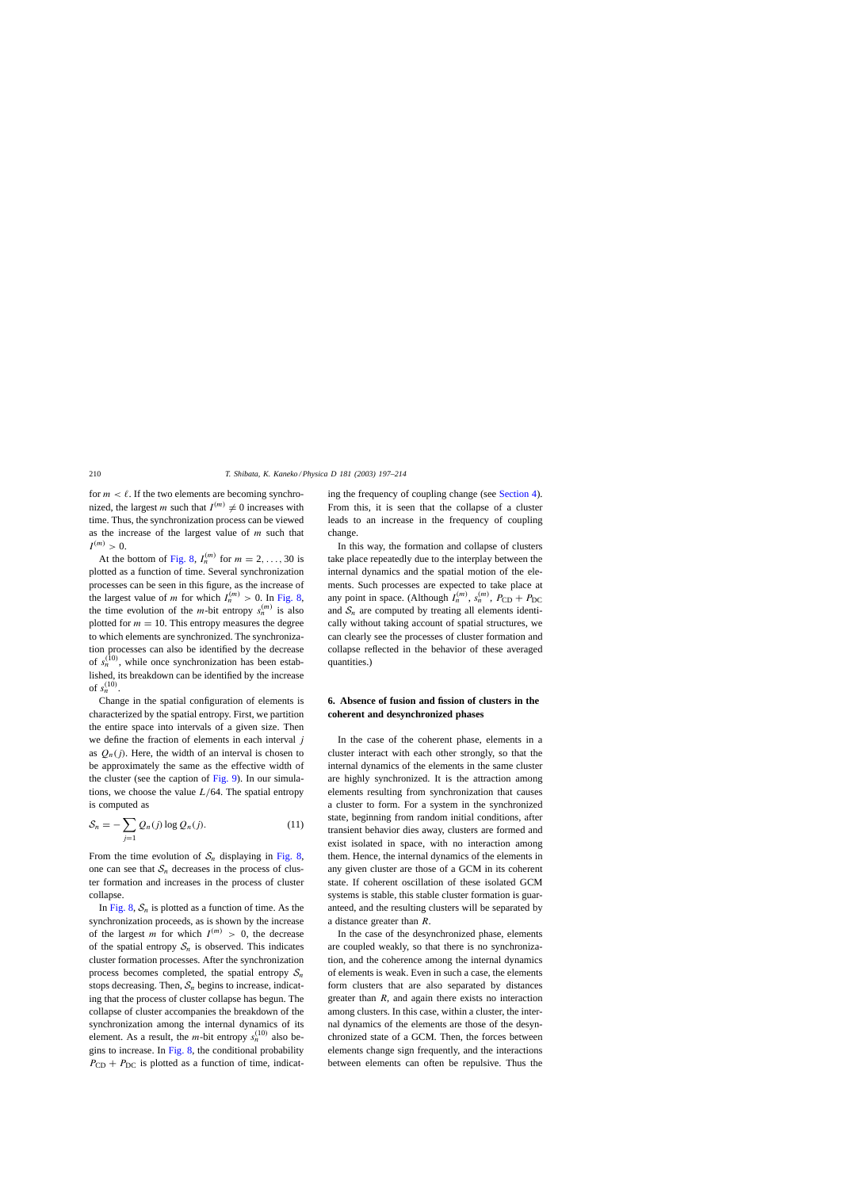<span id="page-13-0"></span>for  $m < l$ . If the two elements are becoming synchronized, the largest m such that  $I^{(m)} \neq 0$  increases with time. Thus, the synchronization process can be viewed as the increase of the largest value of  $m$  such that  $I^{(m)} > 0$ .

At the bottom of [Fig. 8,](#page-12-0)  $I_n^{(m)}$  for  $m = 2, \ldots, 30$  is plotted as a function of time. Several synchronization processes can be seen in this figure, as the increase of the largest value of *m* for which  $I_n^{(m)} > 0$ . In [Fig. 8,](#page-12-0) the time evolution of the *m*-bit entropy  $s_n^{(m)}$  is also plotted for  $m = 10$ . This entropy measures the degree to which elements are synchronized. The synchronization processes can also be identified by the decrease of  $s_n^{(10)}$ , while once synchronization has been established, its breakdown can be identified by the increase of  $s_n^{(10)}$ .

Change in the spatial configuration of elements is characterized by the spatial entropy. First, we partition the entire space into intervals of a given size. Then we define the fraction of elements in each interval j as  $Q_n(j)$ . Here, the width of an interval is chosen to be approximately the same as the effective width of the cluster (see the caption of [Fig. 9\).](#page-14-0) In our simulations, we choose the value  $L/64$ . The spatial entropy is computed as

$$
S_n = -\sum_{j=1}^{\infty} Q_n(j) \log Q_n(j).
$$
 (11)

From the time evolution of  $S_n$  displaying in [Fig. 8,](#page-12-0) one can see that  $S_n$  decreases in the process of cluster formation and increases in the process of cluster collapse.

In [Fig. 8,](#page-12-0)  $S_n$  is plotted as a function of time. As the synchronization proceeds, as is shown by the increase of the largest m for which  $I^{(m)} > 0$ , the decrease of the spatial entropy  $S_n$  is observed. This indicates cluster formation processes. After the synchronization process becomes completed, the spatial entropy  $S_n$ stops decreasing. Then,  $S_n$  begins to increase, indicating that the process of cluster collapse has begun. The collapse of cluster accompanies the breakdown of the synchronization among the internal dynamics of its element. As a result, the *m*-bit entropy  $s_n^{(10)}$  also begins to increase. In Fig.  $8$ , the conditional probability  $P_{CD} + P_{DC}$  is plotted as a function of time, indicating the frequency of coupling change (see [Section 4\).](#page-7-0) From this, it is seen that the collapse of a cluster leads to an increase in the frequency of coupling change.

In this way, the formation and collapse of clusters take place repeatedly due to the interplay between the internal dynamics and the spatial motion of the elements. Such processes are expected to take place at any point in space. (Although  $I_n^{(m)}$ ,  $s_n^{(m)}$ ,  $P_{CD} + P_{DC}$ and  $S_n$  are computed by treating all elements identically without taking account of spatial structures, we can clearly see the processes of cluster formation and collapse reflected in the behavior of these averaged quantities.)

## **6. Absence of fusion and fission of clusters in the coherent and desynchronized phases**

In the case of the coherent phase, elements in a cluster interact with each other strongly, so that the internal dynamics of the elements in the same cluster are highly synchronized. It is the attraction among elements resulting from synchronization that causes a cluster to form. For a system in the synchronized state, beginning from random initial conditions, after transient behavior dies away, clusters are formed and exist isolated in space, with no interaction among them. Hence, the internal dynamics of the elements in any given cluster are those of a GCM in its coherent state. If coherent oscillation of these isolated GCM systems is stable, this stable cluster formation is guaranteed, and the resulting clusters will be separated by a distance greater than R.

In the case of the desynchronized phase, elements are coupled weakly, so that there is no synchronization, and the coherence among the internal dynamics of elements is weak. Even in such a case, the elements form clusters that are also separated by distances greater than  $R$ , and again there exists no interaction among clusters. In this case, within a cluster, the internal dynamics of the elements are those of the desynchronized state of a GCM. Then, the forces between elements change sign frequently, and the interactions between elements can often be repulsive. Thus the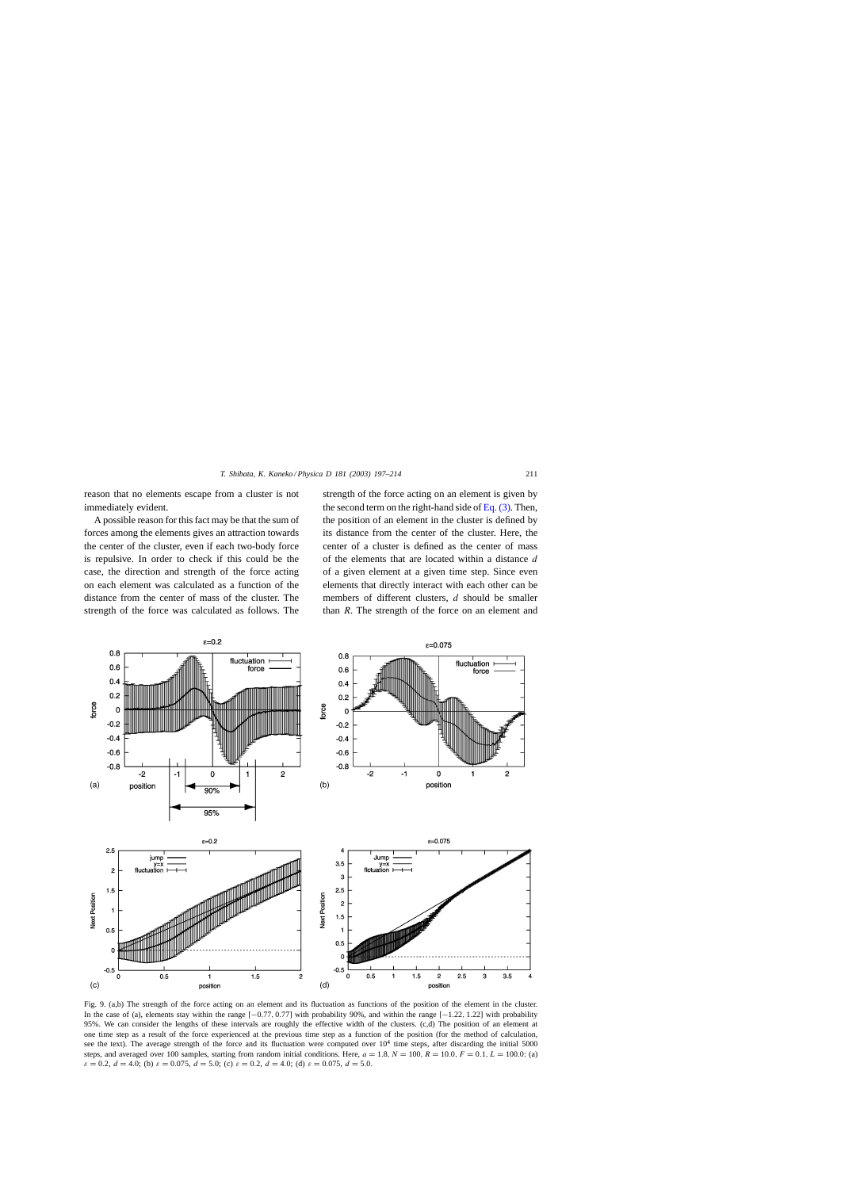<span id="page-14-0"></span>reason that no elements escape from a cluster is not immediately evident.

A possible reason for this fact may be that the sum of forces among the elements gives an attraction towards the center of the cluster, even if each two-body force is repulsive. In order to check if this could be the case, the direction and strength of the force acting on each element was calculated as a function of the distance from the center of mass of the cluster. The strength of the force was calculated as follows. The

strength of the force acting on an element is given by the second term on the right-hand side of  $Eq. (3)$ . Then, the position of an element in the cluster is defined by its distance from the center of the cluster. Here, the center of a cluster is defined as the center of mass of the elements that are located within a distance d of a given element at a given time step. Since even elements that directly interact with each other can be members of different clusters, d should be smaller than R. The strength of the force on an element and



Fig. 9. (a,b) The strength of the force acting on an element and its fluctuation as functions of the position of the element in the cluster. In the case of (a), elements stay within the range [−0.77, 0.77] with probability 90%, and within the range [−1.22, 1.22] with probability 95%. We can consider the lengths of these intervals are roughly the effective width of the clusters. (c,d) The position of an element at one time step as a result of the force experienced at the previous time step as a function of the position (for the method of calculation, see the text). The average strength of the force and its fluctuation were computed over  $10<sup>4</sup>$  time steps, after discarding the initial 5000 steps, and averaged over 100 samples, starting from random initial conditions. Here,  $a = 1.8$ ,  $N = 100$ ,  $R = 10.0$ ,  $F = 0.1$ ,  $L = 100.0$ : (a)  $\varepsilon = 0.2, d = 4.0;$  (b)  $\varepsilon = 0.075, d = 5.0;$  (c)  $\varepsilon = 0.2, d = 4.0;$  (d)  $\varepsilon = 0.075, d = 5.0.$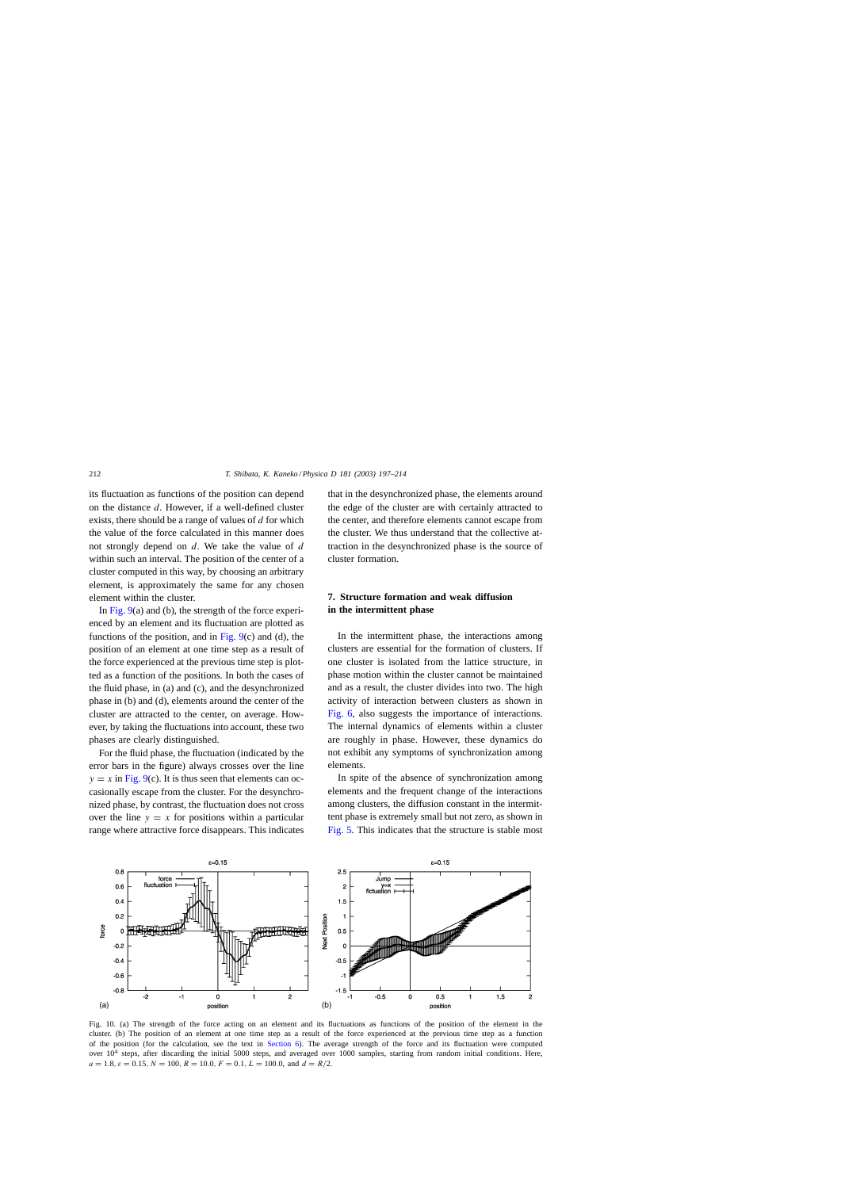<span id="page-15-0"></span>its fluctuation as functions of the position can depend on the distance d. However, if a well-defined cluster exists, there should be a range of values of  $d$  for which the value of the force calculated in this manner does not strongly depend on  $d$ . We take the value of  $d$ within such an interval. The position of the center of a cluster computed in this way, by choosing an arbitrary element, is approximately the same for any chosen element within the cluster.

In Fig.  $9(a)$  and (b), the strength of the force experienced by an element and its fluctuation are plotted as functions of the position, and in Fig.  $9(c)$  and (d), the position of an element at one time step as a result of the force experienced at the previous time step is plotted as a function of the positions. In both the cases of the fluid phase, in (a) and (c), and the desynchronized phase in (b) and (d), elements around the center of the cluster are attracted to the center, on average. However, by taking the fluctuations into account, these two phases are clearly distinguished.

For the fluid phase, the fluctuation (indicated by the error bars in the figure) always crosses over the line  $y = x$  in [Fig. 9\(c](#page-14-0)). It is thus seen that elements can occasionally escape from the cluster. For the desynchronized phase, by contrast, the fluctuation does not cross over the line  $y = x$  for positions within a particular range where attractive force disappears. This indicates that in the desynchronized phase, the elements around the edge of the cluster are with certainly attracted to the center, and therefore elements cannot escape from the cluster. We thus understand that the collective attraction in the desynchronized phase is the source of cluster formation.

# **7. Structure formation and weak diffusion in the intermittent phase**

In the intermittent phase, the interactions among clusters are essential for the formation of clusters. If one cluster is isolated from the lattice structure, in phase motion within the cluster cannot be maintained and as a result, the cluster divides into two. The high activity of interaction between clusters as shown in [Fig. 6,](#page-10-0) also suggests the importance of interactions. The internal dynamics of elements within a cluster are roughly in phase. However, these dynamics do not exhibit any symptoms of synchronization among elements.

In spite of the absence of synchronization among elements and the frequent change of the interactions among clusters, the diffusion constant in the intermittent phase is extremely small but not zero, as shown in [Fig. 5.](#page-9-0) This indicates that the structure is stable most



Fig. 10. (a) The strength of the force acting on an element and its fluctuations as functions of the position of the element in the cluster. (b) The position of an element at one time step as a result of the force experienced at the previous time step as a function of the position (for the calculation, see the text in [Section 6\).](#page-13-0) The average strength of the force and its fluctuation were computed over  $10<sup>4</sup>$  steps, after discarding the initial 5000 steps, and averaged over 1000 samples, starting from random initial conditions. Here,  $a = 1.8, \varepsilon = 0.15, N = 100, R = 10.0, F = 0.1, L = 100.0, \text{ and } d = R/2.$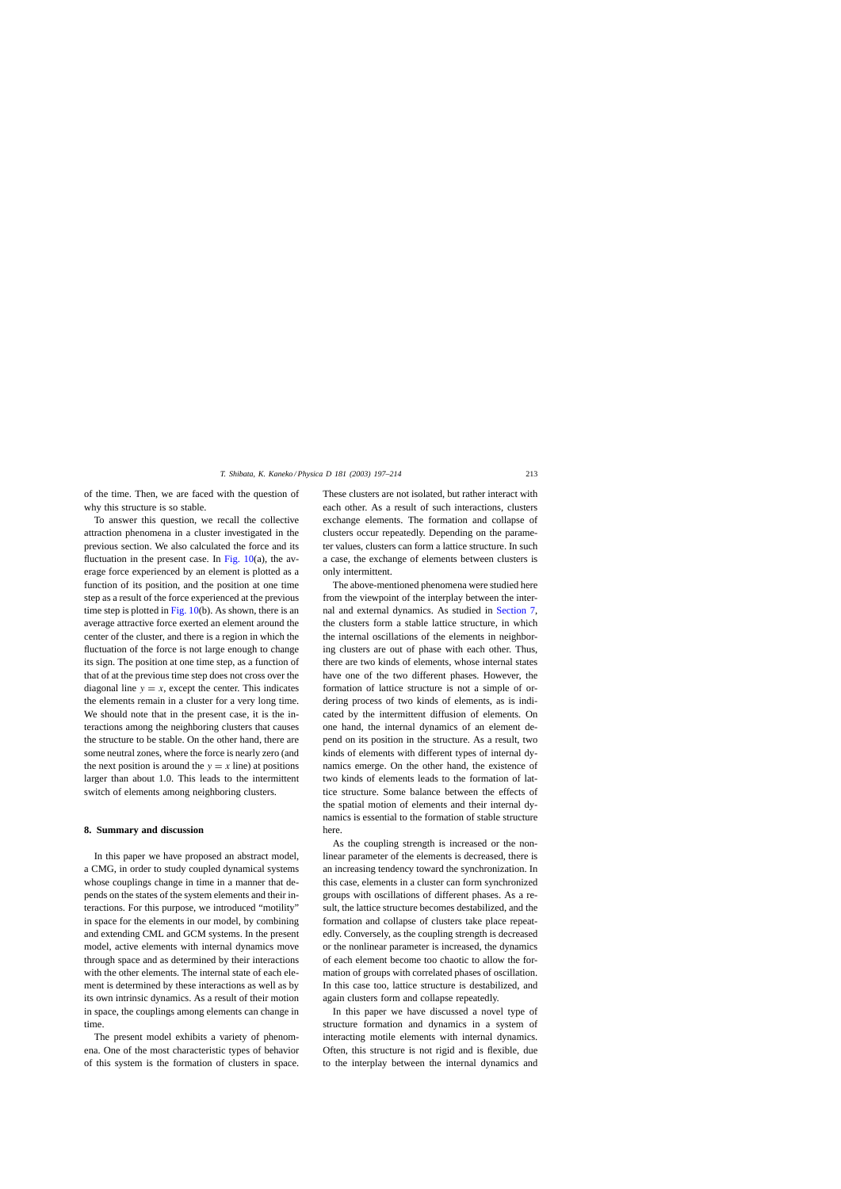<span id="page-16-0"></span>of the time. Then, we are faced with the question of why this structure is so stable.

To answer this question, we recall the collective attraction phenomena in a cluster investigated in the previous section. We also calculated the force and its fluctuation in the present case. In Fig.  $10(a)$ , the average force experienced by an element is plotted as a function of its position, and the position at one time step as a result of the force experienced at the previous time step is plotted in Fig.  $10(b)$ . As shown, there is an average attractive force exerted an element around the center of the cluster, and there is a region in which the fluctuation of the force is not large enough to change its sign. The position at one time step, as a function of that of at the previous time step does not cross over the diagonal line  $y = x$ , except the center. This indicates the elements remain in a cluster for a very long time. We should note that in the present case, it is the interactions among the neighboring clusters that causes the structure to be stable. On the other hand, there are some neutral zones, where the force is nearly zero (and the next position is around the  $y = x$  line) at positions larger than about 1.0. This leads to the intermittent switch of elements among neighboring clusters.

## **8. Summary and discussion**

In this paper we have proposed an abstract model, a CMG, in order to study coupled dynamical systems whose couplings change in time in a manner that depends on the states of the system elements and their interactions. For this purpose, we introduced "motility" in space for the elements in our model, by combining and extending CML and GCM systems. In the present model, active elements with internal dynamics move through space and as determined by their interactions with the other elements. The internal state of each element is determined by these interactions as well as by its own intrinsic dynamics. As a result of their motion in space, the couplings among elements can change in time.

The present model exhibits a variety of phenomena. One of the most characteristic types of behavior of this system is the formation of clusters in space.

These clusters are not isolated, but rather interact with each other. As a result of such interactions, clusters exchange elements. The formation and collapse of clusters occur repeatedly. Depending on the parameter values, clusters can form a lattice structure. In such a case, the exchange of elements between clusters is only intermittent.

The above-mentioned phenomena were studied here from the viewpoint of the interplay between the internal and external dynamics. As studied in [Section 7,](#page-15-0) the clusters form a stable lattice structure, in which the internal oscillations of the elements in neighboring clusters are out of phase with each other. Thus, there are two kinds of elements, whose internal states have one of the two different phases. However, the formation of lattice structure is not a simple of ordering process of two kinds of elements, as is indicated by the intermittent diffusion of elements. On one hand, the internal dynamics of an element depend on its position in the structure. As a result, two kinds of elements with different types of internal dynamics emerge. On the other hand, the existence of two kinds of elements leads to the formation of lattice structure. Some balance between the effects of the spatial motion of elements and their internal dynamics is essential to the formation of stable structure here.

As the coupling strength is increased or the nonlinear parameter of the elements is decreased, there is an increasing tendency toward the synchronization. In this case, elements in a cluster can form synchronized groups with oscillations of different phases. As a result, the lattice structure becomes destabilized, and the formation and collapse of clusters take place repeatedly. Conversely, as the coupling strength is decreased or the nonlinear parameter is increased, the dynamics of each element become too chaotic to allow the formation of groups with correlated phases of oscillation. In this case too, lattice structure is destabilized, and again clusters form and collapse repeatedly.

In this paper we have discussed a novel type of structure formation and dynamics in a system of interacting motile elements with internal dynamics. Often, this structure is not rigid and is flexible, due to the interplay between the internal dynamics and